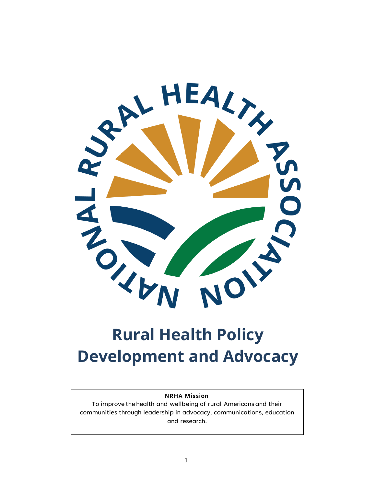

# **Rural Health Policy Development and Advocacy**

#### **NRHA Mission**

To improve the health and wellbeing of rural Americans and their communities through leadership in advocacy, communications, education and research.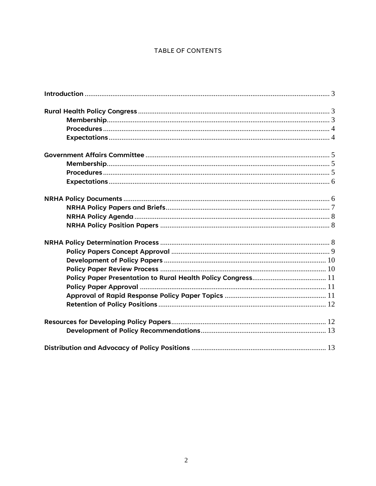### TABLE OF CONTENTS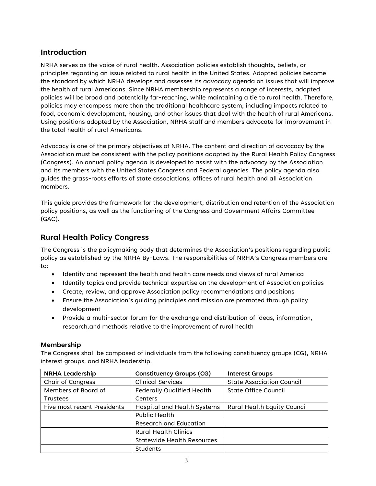# <span id="page-2-0"></span>**Introduction**

NRHA serves as the voice of rural health. Association policies establish thoughts, beliefs, or principles regarding an issue related to rural health in the United States. Adopted policies become the standard by which NRHA develops and assesses its advocacy agenda on issues that will improve the health of rural Americans. Since NRHA membership represents a range of interests, adopted policies will be broad and potentially far-reaching, while maintaining a tie to rural health. Therefore, policies may encompass more than the traditional healthcare system, including impacts related to food, economic development, housing, and other issues that deal with the health of rural Americans. Using positions adopted by the Association, NRHA staff and members advocate for improvement in the total health of rural Americans.

Advocacy is one of the primary objectives of NRHA. The content and direction of advocacy by the Association must be consistent with the policy positions adopted by the Rural Health Policy Congress (Congress). An annual policy agenda is developed to assist with the advocacy by the Association and its members with the United States Congress and Federal agencies. The policy agenda also guides the grass-roots efforts of state associations, offices of rural health and all Association members.

This guide provides the framework for the development, distribution and retention of the Association policy positions, as well as the functioning of the Congress and Government Affairs Committee (GAC).

# <span id="page-2-1"></span>**Rural Health Policy Congress**

The Congress is the policymaking body that determines the Association's positions regarding public policy as established by the NRHA By-Laws. The responsibilities of NRHA's Congress members are to:

- Identify and represent the health and health care needs and views of rural America
- Identify topics and provide technical expertise on the development of Association policies
- Create, review, and approve Association policy recommendations and positions
- Ensure the Association's guiding principles and mission are promoted through policy development
- Provide a multi-sector forum for the exchange and distribution of ideas, information, research,and methods relative to the improvement of rural health

#### <span id="page-2-2"></span>**Membership**

The Congress shall be composed of individuals from the following constituency groups (CG), NRHA interest groups, and NRHA leadership.

| <b>NRHA Leadership</b>      | <b>Constituency Groups (CG)</b>   | <b>Interest Groups</b>             |
|-----------------------------|-----------------------------------|------------------------------------|
| <b>Chair of Congress</b>    | <b>Clinical Services</b>          | <b>State Association Council</b>   |
| Members of Board of         | <b>Federally Qualified Health</b> | State Office Council               |
| <b>Trustees</b>             | Centers                           |                                    |
| Five most recent Presidents | Hospital and Health Systems       | <b>Rural Health Equity Council</b> |
|                             | Public Health                     |                                    |
|                             | Research and Education            |                                    |
|                             | <b>Rural Health Clinics</b>       |                                    |
|                             | <b>Statewide Health Resources</b> |                                    |
|                             | <b>Students</b>                   |                                    |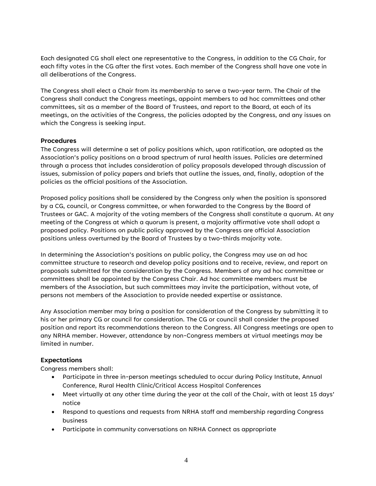Each designated CG shall elect one representative to the Congress, in addition to the CG Chair, for each fifty votes in the CG after the first votes. Each member of the Congress shall have one vote in all deliberations of the Congress.

The Congress shall elect a Chair from its membership to serve a two-year term. The Chair of the Congress shall conduct the Congress meetings, appoint members to ad hoc committees and other committees, sit as a member of the Board of Trustees, and report to the Board, at each of its meetings, on the activities of the Congress, the policies adopted by the Congress, and any issues on which the Congress is seeking input.

#### <span id="page-3-0"></span>**Procedures**

The Congress will determine a set of policy positions which, upon ratification, are adopted as the Association's policy positions on a broad spectrum of rural health issues. Policies are determined through a process that includes consideration of policy proposals developed through discussion of issues, submission of policy papers and briefs that outline the issues, and, finally, adoption of the policies as the official positions of the Association.

Proposed policy positions shall be considered by the Congress only when the position is sponsored by a CG, council, or Congress committee, or when forwarded to the Congress by the Board of Trustees or GAC. A majority of the voting members of the Congress shall constitute a quorum. At any meeting of the Congress at which a quorum is present, a majority affirmative vote shall adopt a proposed policy. Positions on public policy approved by the Congress are official Association positions unless overturned by the Board of Trustees by a two-thirds majority vote.

In determining the Association's positions on public policy, the Congress may use an ad hoc committee structure to research and develop policy positions and to receive, review, and report on proposals submitted for the consideration by the Congress. Members of any ad hoc committee or committees shall be appointed by the Congress Chair. Ad hoc committee members must be members of the Association, but such committees may invite the participation, without vote, of persons not members of the Association to provide needed expertise or assistance.

Any Association member may bring a position for consideration of the Congress by submitting it to his or her primary CG or council for consideration. The CG or council shall consider the proposed position and report its recommendations thereon to the Congress. All Congress meetings are open to any NRHA member. However, attendance by non-Congress members at virtual meetings may be limited in number.

#### <span id="page-3-1"></span>**Expectations**

Congress members shall:

- Participate in three in-person meetings scheduled to occur during Policy Institute, Annual Conference, Rural Health Clinic/Critical Access Hospital Conferences
- Meet virtually at any other time during the year at the call of the Chair, with at least 15 days' notice
- Respond to questions and requests from NRHA staff and membership regarding Congress business
- Participate in community conversations on NRHA Connect as appropriate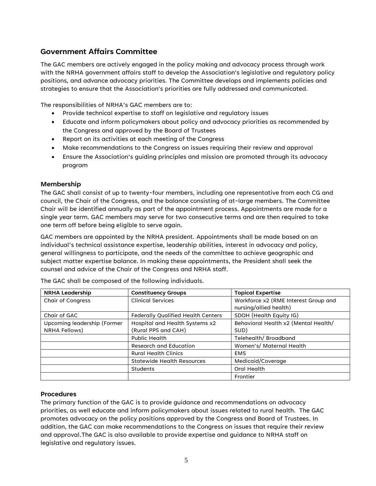# <span id="page-4-0"></span>**Government Affairs Committee**

The GAC members are actively engaged in the policy making and advocacy process through work with the NRHA government affairs staff to develop the Association's legislative and regulatory policy positions, and advance advocacy priorities. The Committee develops and implements policies and strategies to ensure that the Association's priorities are fully addressed and communicated.

The responsibilities of NRHA's GAC members are to:

- Provide technical expertise to staff on legislative and regulatory issues
- Educate and inform policymakers about policy and advocacy priorities as recommended by the Congress and approved by the Board of Trustees
- Report on its activities at each meeting of the Congress
- Make recommendations to the Congress on issues requiring their review and approval
- Ensure the Association's guiding principles and mission are promoted through its advocacy program

#### <span id="page-4-1"></span>**Membership**

The GAC shall consist of up to twenty-four members, including one representative from each CG and council, the Chair of the Congress, and the balance consisting of at-large members. The Committee Chair will be identified annually as part of the appointment process. Appointments are made for a single year term. GAC members may serve for two consecutive terms and are then required to take one term off before being eligible to serve again.

GAC members are appointed by the NRHA president. Appointments shall be made based on an individual's technical assistance expertise, leadership abilities, interest in advocacy and policy, general willingness to participate, and the needs of the committee to achieve geographic and subject matter expertise balance. In making these appointments, the President shall seek the counsel and advice of the Chair of the Congress and NRHA staff.

| <b>NRHA Leadership</b>      | <b>Constituency Groups</b>                | <b>Topical Expertise</b>             |
|-----------------------------|-------------------------------------------|--------------------------------------|
| Chair of Congress           | <b>Clinical Services</b>                  | Workforce x2 (RME Interest Group and |
|                             |                                           | nursing/allied health)               |
| Chair of GAC                | <b>Federally Qualified Health Centers</b> | SDOH (Health Equity IG)              |
| Upcoming leadership (Former | Hospital and Health Systems x2            | Behavioral Health x2 (Mental Health/ |
| NRHA Fellows)               | (Rural PPS and CAH)                       | SUD)                                 |
|                             | <b>Public Health</b>                      | Telehealth/ Broadband                |
|                             | Research and Education                    | Women's/ Maternal Health             |
|                             | <b>Rural Health Clinics</b>               | <b>EMS</b>                           |
|                             | <b>Statewide Health Resources</b>         | Medicaid/Coverage                    |
|                             | <b>Students</b>                           | Oral Health                          |
|                             |                                           | Frontier                             |

The GAC shall be composed of the following individuals.

#### <span id="page-4-2"></span>**Procedures**

The primary function of the GAC is to provide guidance and recommendations on advocacy priorities, as well educate and inform policymakers about issues related to rural health. The GAC promotes advocacy on the policy positions approved by the Congress and Board of Trustees. In addition, the GAC can make recommendations to the Congress on issues that require their review and approval.The GAC is also available to provide expertise and guidance to NRHA staff on legislative and regulatory issues.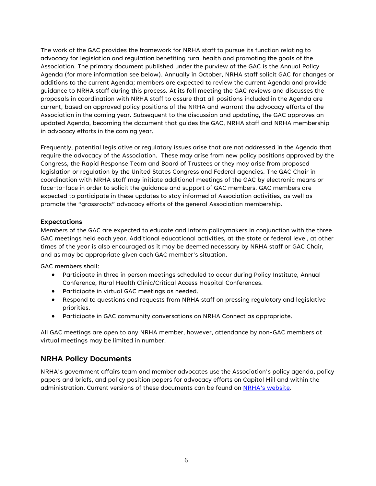The work of the GAC provides the framework for NRHA staff to pursue its function relating to advocacy for legislation and regulation benefiting rural health and promoting the goals of the Association. The primary document published under the purview of the GAC is the Annual Policy Agenda (for more information see below). Annually in October, NRHA staff solicit GAC for changes or additions to the current Agenda; members are expected to review the current Agenda and provide guidance to NRHA staff during this process. At its fall meeting the GAC reviews and discusses the proposals in coordination with NRHA staff to assure that all positions included in the Agenda are current, based on approved policy positions of the NRHA and warrant the advocacy efforts of the Association in the coming year. Subsequent to the discussion and updating, the GAC approves an updated Agenda, becoming the document that guides the GAC, NRHA staff and NRHA membership in advocacy efforts in the coming year.

Frequently, potential legislative or regulatory issues arise that are not addressed in the Agenda that require the advocacy of the Association. These may arise from new policy positions approved by the Congress, the Rapid Response Team and Board of Trustees or they may arise from proposed legislation or regulation by the United States Congress and Federal agencies. The GAC Chair in coordination with NRHA staff may initiate additional meetings of the GAC by electronic means or face-to-face in order to solicit the guidance and support of GAC members. GAC members are expected to participate in these updates to stay informed of Association activities, as well as promote the "grassroots" advocacy efforts of the general Association membership.

#### <span id="page-5-0"></span>**Expectations**

Members of the GAC are expected to educate and inform policymakers in conjunction with the three GAC meetings held each year. Additional educational activities, at the state or federal level, at other times of the year is also encouraged as it may be deemed necessary by NRHA staff or GAC Chair, and as may be appropriate given each GAC member's situation.

GAC members shall:

- Participate in three in person meetings scheduled to occur during Policy Institute, Annual Conference, Rural Health Clinic/Critical Access Hospital Conferences.
- Participate in virtual GAC meetings as needed.
- Respond to questions and requests from NRHA staff on pressing regulatory and legislative priorities.
- Participate in GAC community conversations on NRHA Connect as appropriate.

All GAC meetings are open to any NRHA member, however, attendance by non-GAC members at virtual meetings may be limited in number.

#### <span id="page-5-1"></span>**NRHA Policy Documents**

NRHA's government affairs team and member advocates use the Association's policy agenda, policy papers and briefs, and policy position papers for advocacy efforts on Capitol Hill and within the administration. Current versions of these documents can be found on NRHA's [website.](https://www.ruralhealthweb.org/advocate/policy-documents)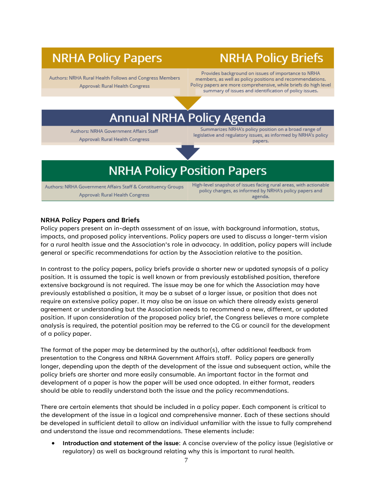# **NRHA Policy Papers**

# **NRHA Policy Briefs**

Authors: NRHA Rural Health Follows and Congress Members Approval: Rural Health Congress

Provides background on issues of importance to NRHA members, as well as policy positions and recommendations. Policy papers are more comprehensive, while briefs do high level summary of issues and identification of policy issues.

# **Annual NRHA Policy Agenda**

Authors: NRHA Government Affairs Staff Approval: Rural Health Congress

Summarizes NRHA's policy position on a broad range of legislative and regulatory issues, as informed by NRHA's policy papers.

# **NRHA Policy Position Papers**

Authors: NRHA Government Affairs Staff & Constituency Groups Approval: Rural Health Congress

High-level snapshot of issues facing rural areas, with actionable policy changes, as informed by NRHA's policy papers and agenda.

#### <span id="page-6-0"></span>**NRHA Policy Papers and Briefs**

Policy papers present an in-depth assessment of an issue, with background information, status, impacts, and proposed policy interventions. Policy papers are used to discuss a longer-term vision for a rural health issue and the Association's role in advocacy. In addition, policy papers will include general or specific recommendations for action by the Association relative to the position.

In contrast to the policy papers, policy briefs provide a shorter new or updated synopsis of a policy position. It is assumed the topic is well known or from previously established position, therefore extensive background is not required. The issue may be one for which the Association may have previously established a position, it may be a subset of a larger issue, or position that does not require an extensive policy paper. It may also be an issue on which there already exists general agreement or understanding but the Association needs to recommend a new, different, or updated position. If upon consideration of the proposed policy brief, the Congress believes a more complete analysis is required, the potential position may be referred to the CG or council for the development of a policy paper.

The format of the paper may be determined by the author(s), after additional feedback from presentation to the Congress and NRHA Government Affairs staff. Policy papers are generally longer, depending upon the depth of the development of the issue and subsequent action, while the policy briefs are shorter and more easily consumable. An important factor in the format and development of a paper is how the paper will be used once adopted. In either format, readers should be able to readily understand both the issue and the policy recommendations.

There are certain elements that should be included in a policy paper. Each component is critical to the development of the issue in a logical and comprehensive manner. Each of these sections should be developed in sufficient detail to allow an individual unfamiliar with the issue to fully comprehend and understand the issue and recommendations. These elements include:

• **Introduction and statement of the issue**: A concise overview of the policy issue (legislative or regulatory) as well as background relating why this is important to rural health.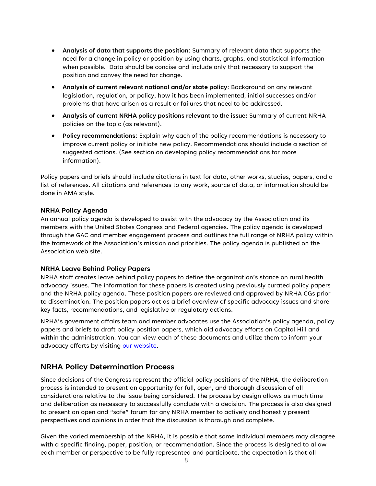- **Analysis of data that supports the position**: Summary of relevant data that supports the need for a change in policy or position by using charts, graphs, and statistical information when possible. Data should be concise and include only that necessary to support the position and convey the need for change.
- **Analysis of current relevant national and/or state policy**: Background on any relevant legislation, regulation, or policy, how it has been implemented, initial successes and/or problems that have arisen as a result or failures that need to be addressed.
- **Analysis of current NRHA policy positions relevant to the issue:** Summary of current NRHA policies on the topic (as relevant).
- **Policy recommendations**: Explain why each of the policy recommendations is necessary to improve current policy or initiate new policy. Recommendations should include a section of suggested actions. (See section on developing policy recommendations for more information).

Policy papers and briefs should include citations in text for data, other works, studies, papers, and a list of references. All citations and references to any work, source of data, or information should be done in AMA style.

#### <span id="page-7-0"></span>**NRHA Policy Agenda**

An annual policy agenda is developed to assist with the advocacy by the Association and its members with the United States Congress and Federal agencies. The policy agenda is developed through the GAC and member engagement process and outlines the full range of NRHA policy within the framework of the Association's mission and priorities. The policy agenda is published on the Association web site.

#### <span id="page-7-1"></span>**NRHA Leave Behind Policy Papers**

NRHA staff creates leave behind policy papers to define the organization's stance on rural health advocacy issues. The information for these papers is created using previously curated policy papers and the NRHA policy agenda. These position papers are reviewed and approved by NRHA CGs prior to dissemination. The position papers act as a brief overview of specific advocacy issues and share key facts, recommendations, and legislative or regulatory actions.

NRHA's government affairs team and member advocates use the Association's policy agenda, policy papers and briefs to draft policy position papers, which aid advocacy efforts on Capitol Hill and within the administration. You can view each of these documents and utilize them to inform your advocacy efforts by visiting [our website.](https://www.ruralhealthweb.org/advocate/policy-documents)

### <span id="page-7-2"></span>**NRHA Policy Determination Process**

Since decisions of the Congress represent the official policy positions of the NRHA, the deliberation process is intended to present an opportunity for full, open, and thorough discussion of all considerations relative to the issue being considered. The process by design allows as much time and deliberation as necessary to successfully conclude with a decision. The process is also designed to present an open and "safe" forum for any NRHA member to actively and honestly present perspectives and opinions in order that the discussion is thorough and complete.

Given the varied membership of the NRHA, it is possible that some individual members may disagree with a specific finding, paper, position, or recommendation. Since the process is designed to allow each member or perspective to be fully represented and participate, the expectation is that all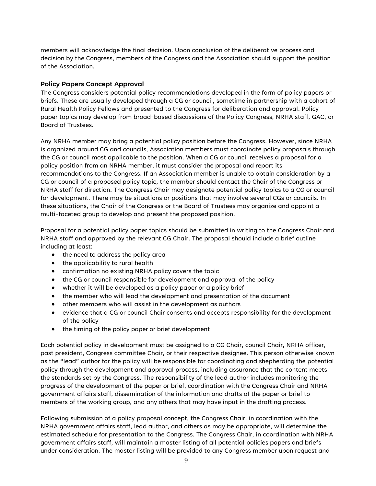members will acknowledge the final decision. Upon conclusion of the deliberative process and decision by the Congress, members of the Congress and the Association should support the position of the Association.

#### <span id="page-8-0"></span>**Policy Papers Concept Approval**

The Congress considers potential policy recommendations developed in the form of policy papers or briefs. These are usually developed through a CG or council, sometime in partnership with a cohort of Rural Health Policy Fellows and presented to the Congress for deliberation and approval. Policy paper topics may develop from broad-based discussions of the Policy Congress, NRHA staff, GAC, or Board of Trustees.

Any NRHA member may bring a potential policy position before the Congress. However, since NRHA is organized around CG and councils, Association members must coordinate policy proposals through the CG or council most applicable to the position. When a CG or council receives a proposal for a policy position from an NRHA member, it must consider the proposal and report its recommendations to the Congress. If an Association member is unable to obtain consideration by a CG or council of a proposed policy topic, the member should contact the Chair of the Congress or NRHA staff for direction. The Congress Chair may designate potential policy topics to a CG or council for development. There may be situations or positions that may involve several CGs or councils. In these situations, the Chair of the Congress or the Board of Trustees may organize and appoint a multi-faceted group to develop and present the proposed position.

Proposal for a potential policy paper topics should be submitted in writing to the Congress Chair and NRHA staff and approved by the relevant CG Chair. The proposal should include a brief outline including at least:

- the need to address the policy area
- the applicability to rural health
- confirmation no existing NRHA policy covers the topic
- the CG or council responsible for development and approval of the policy
- whether it will be developed as a policy paper or a policy brief
- the member who will lead the development and presentation of the document
- other members who will assist in the development as authors
- evidence that a CG or council Chair consents and accepts responsibility for the development of the policy
- the timing of the policy paper or brief development

Each potential policy in development must be assigned to a CG Chair, council Chair, NRHA officer, past president, Congress committee Chair, or their respective designee. This person otherwise known as the "lead" author for the policy will be responsible for coordinating and shepherding the potential policy through the development and approval process, including assurance that the content meets the standards set by the Congress. The responsibility of the lead author includes monitoring the progress of the development of the paper or brief, coordination with the Congress Chair and NRHA government affairs staff, dissemination of the information and drafts of the paper or brief to members of the working group, and any others that may have input in the drafting process.

Following submission of a policy proposal concept, the Congress Chair, in coordination with the NRHA government affairs staff, lead author, and others as may be appropriate, will determine the estimated schedule for presentation to the Congress. The Congress Chair, in coordination with NRHA government affairs staff, will maintain a master listing of all potential policies papers and briefs under consideration. The master listing will be provided to any Congress member upon request and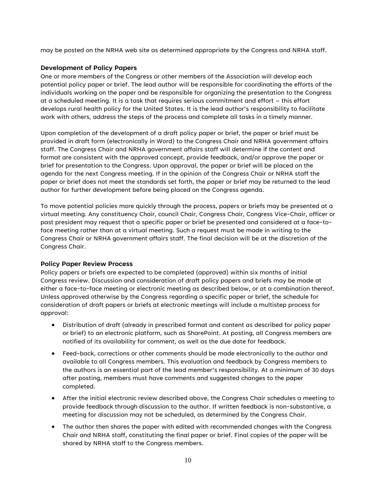may be posted on the NRHA web site as determined appropriate by the Congress and NRHA staff.

#### <span id="page-9-0"></span>**Development of Policy Papers**

One or more members of the Congress or other members of the Association will develop each potential policy paper or brief. The lead author will be responsible for coordinating the efforts of the individuals working on the paper and be responsible for organizing the presentation to the Congress at a scheduled meeting. It is a task that requires serious commitment and effort – this effort develops rural health policy for the United States. It is the lead author's responsibility to facilitate work with others, address the steps of the process and complete all tasks in a timely manner.

Upon completion of the development of a draft policy paper or brief, the paper or brief must be provided in draft form (electronically in Word) to the Congress Chair and NRHA government affairs staff. The Congress Chair and NRHA government affairs staff will determine if the content and format are consistent with the approved concept, provide feedback, and/or approve the paper or brief for presentation to the Congress. Upon approval, the paper or brief will be placed on the agenda for the next Congress meeting. If in the opinion of the Congress Chair or NRHA staff the paper or brief does not meet the standards set forth, the paper or brief may be returned to the lead author for further development before being placed on the Congress agenda.

To move potential policies more quickly through the process, papers or briefs may be presented at a virtual meeting. Any constituency Chair, council Chair, Congress Chair, Congress Vice-Chair, officer or past president may request that a specific paper or brief be presented and considered at a face-toface meeting rather than at a virtual meeting. Such a request must be made in writing to the Congress Chair or NRHA government affairs staff. The final decision will be at the discretion of the Congress Chair.

#### <span id="page-9-1"></span>**Policy Paper Review Process**

Policy papers or briefs are expected to be completed (approved) within six months of initial Congress review. Discussion and consideration of draft policy papers and briefs may be made at either a face-to-face meeting or electronic meeting as described below, or at a combination thereof. Unless approved otherwise by the Congress regarding a specific paper or brief, the schedule for consideration of draft papers or briefs at electronic meetings will include a multistep process for approval:

- Distribution of draft (already in prescribed format and content as described for policy paper or brief) to an electronic platform, such as SharePoint. At posting, all Congress members are notified of its availability for comment, as well as the due date for feedback.
- Feed-back, corrections or other comments should be made electronically to the author and available to all Congress members. This evaluation and feedback by Congress members to the authors is an essential part of the lead member's responsibility. At a minimum of 30 days after posting, members must have comments and suggested changes to the paper completed.
- After the initial electronic review described above, the Congress Chair schedules a meeting to provide feedback through discussion to the author. If written feedback is non-substantive, a meeting for discussion may not be scheduled, as determined by the Congress Chair.
- The author then shares the paper with edited with recommended changes with the Congress Chair and NRHA staff, constituting the final paper or brief. Final copies of the paper will be shared by NRHA staff to the Congress members.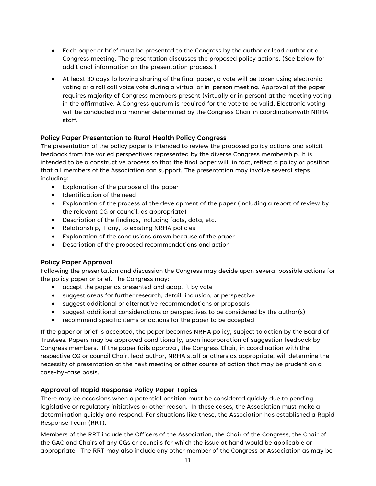- Each paper or brief must be presented to the Congress by the author or lead author at a Congress meeting. The presentation discusses the proposed policy actions. (See below for additional information on the presentation process.)
- At least 30 days following sharing of the final paper, a vote will be taken using electronic voting or a roll call voice vote during a virtual or in-person meeting. Approval of the paper requires majority of Congress members present (virtually or in person) at the meeting voting in the affirmative. A Congress quorum is required for the vote to be valid. Electronic voting will be conducted in a manner determined by the Congress Chair in coordinationwith NRHA staff.

#### <span id="page-10-0"></span>**Policy Paper Presentation to Rural Health Policy Congress**

The presentation of the policy paper is intended to review the proposed policy actions and solicit feedback from the varied perspectives represented by the diverse Congress membership. It is intended to be a constructive process so that the final paper will, in fact, reflect a policy or position that all members of the Association can support. The presentation may involve several steps including:

- Explanation of the purpose of the paper
- Identification of the need
- Explanation of the process of the development of the paper (including a report of review by the relevant CG or council, as appropriate)
- Description of the findings, including facts, data, etc.
- Relationship, if any, to existing NRHA policies
- Explanation of the conclusions drawn because of the paper
- Description of the proposed recommendations and action

#### <span id="page-10-1"></span>**Policy Paper Approval**

Following the presentation and discussion the Congress may decide upon several possible actions for the policy paper or brief. The Congress may:

- accept the paper as presented and adopt it by vote
- suggest areas for further research, detail, inclusion, or perspective
- suggest additional or alternative recommendations or proposals
- suggest additional considerations or perspectives to be considered by the author(s)
- recommend specific items or actions for the paper to be accepted

If the paper or brief is accepted, the paper becomes NRHA policy, subject to action by the Board of Trustees. Papers may be approved conditionally, upon incorporation of suggestion feedback by Congress members. If the paper fails approval, the Congress Chair, in coordination with the respective CG or council Chair, lead author, NRHA staff or others as appropriate, will determine the necessity of presentation at the next meeting or other course of action that may be prudent on a case-by-case basis.

#### <span id="page-10-2"></span>**Approval of Rapid Response Policy Paper Topics**

There may be occasions when a potential position must be considered quickly due to pending legislative or regulatory initiatives or other reason. In these cases, the Association must make a determination quickly and respond. For situations like these, the Association has established a Rapid Response Team (RRT).

Members of the RRT include the Officers of the Association, the Chair of the Congress, the Chair of the GAC and Chairs of any CGs or councils for which the issue at hand would be applicable or appropriate. The RRT may also include any other member of the Congress or Association as may be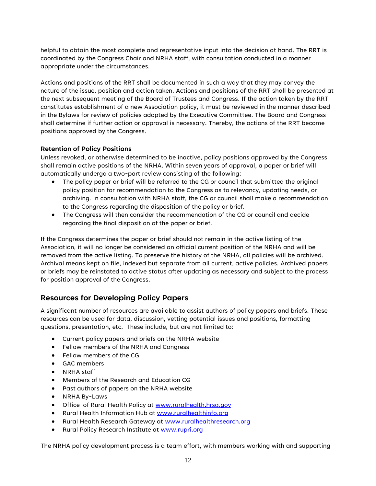helpful to obtain the most complete and representative input into the decision at hand. The RRT is coordinated by the Congress Chair and NRHA staff, with consultation conducted in a manner appropriate under the circumstances.

Actions and positions of the RRT shall be documented in such a way that they may convey the nature of the issue, position and action taken. Actions and positions of the RRT shall be presented at the next subsequent meeting of the Board of Trustees and Congress. If the action taken by the RRT constitutes establishment of a new Association policy, it must be reviewed in the manner described in the Bylaws for review of policies adopted by the Executive Committee. The Board and Congress shall determine if further action or approval is necessary. Thereby, the actions of the RRT become positions approved by the Congress.

#### <span id="page-11-0"></span>**Retention of Policy Positions**

Unless revoked, or otherwise determined to be inactive, policy positions approved by the Congress shall remain active positions of the NRHA. Within seven years of approval, a paper or brief will automatically undergo a two-part review consisting of the following:

- The policy paper or brief will be referred to the CG or council that submitted the original policy position for recommendation to the Congress as to relevancy, updating needs, or archiving. In consultation with NRHA staff, the CG or council shall make a recommendation to the Congress regarding the disposition of the policy or brief.
- The Congress will then consider the recommendation of the CG or council and decide regarding the final disposition of the paper or brief.

If the Congress determines the paper or brief should not remain in the active listing of the Association, it will no longer be considered an official current position of the NRHA and will be removed from the active listing. To preserve the history of the NRHA, all policies will be archived. Archival means kept on file, indexed but separate from all current, active policies. Archived papers or briefs may be reinstated to active status after updating as necessary and subject to the process for position approval of the Congress.

### <span id="page-11-1"></span>**Resources for Developing Policy Papers**

A significant number of resources are available to assist authors of policy papers and briefs. These resources can be used for data, discussion, vetting potential issues and positions, formatting questions, presentation, etc. These include, but are not limited to:

- Current policy papers and briefs on the NRHA website
- Fellow members of the NRHA and Congress
- Fellow members of the CG
- GAC members
- NRHA staff
- Members of the Research and Education CG
- Past authors of papers on the NRHA website
- NRHA By-Laws
- Office of Rural Health Policy at [www.ruralhealth.hrsa.gov](http://www.ruralhealth.hrsa.gov/)
- Rural Health Information Hub at [www.ruralhealthinfo.org](http://www.ruralhealthinfo.org/)
- Rural Health Research Gateway at [www.ruralhealthresearch.org](http://www.ruralhealthresearch.org/)
- Rural Policy Research Institute at [www.rupri.org](http://www.rupri.org/)

The NRHA policy development process is a team effort, with members working with and supporting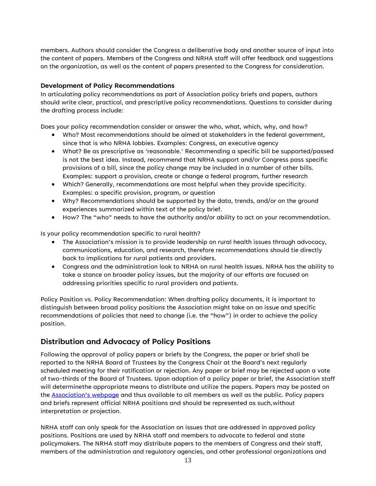members. Authors should consider the Congress a deliberative body and another source of input into the content of papers. Members of the Congress and NRHA staff will offer feedback and suggestions on the organization, as well as the content of papers presented to the Congress for consideration.

#### <span id="page-12-0"></span>**Development of Policy Recommendations**

In articulating policy recommendations as part of Association policy briefs and papers, authors should write clear, practical, and prescriptive policy recommendations. Questions to consider during the drafting process include:

Does your policy recommendation consider or answer the who, what, which, why, and how?

- Who? Most recommendations should be aimed at stakeholders in the federal government, since that is who NRHA lobbies. Examples: Congress, an executive agency
- What? Be as prescriptive as 'reasonable.' Recommending a specific bill be supported/passed is not the best idea. Instead, recommend that NRHA support and/or Congress pass specific provisions of a bill, since the policy change may be included in a number of other bills. Examples: support a provision, create or change a federal program, further research
- Which? Generally, recommendations are most helpful when they provide specificity. Examples: a specific provision, program, or question
- Why? Recommendations should be supported by the data, trends, and/or on the ground experiences summarized within text of the policy brief.
- How? The "who" needs to have the authority and/or ability to act on your recommendation.

Is your policy recommendation specific to rural health?

- The Association's mission is to provide leadership on rural health issues through advocacy, communications, education, and research, therefore recommendations should tie directly back to implications for rural patients and providers.
- Congress and the administration look to NRHA on rural health issues. NRHA has the ability to take a stance on broader policy issues, but the majority of our efforts are focused on addressing priorities specific to rural providers and patients.

Policy Position vs. Policy Recommendation: When drafting policy documents, it is important to distinguish between broad policy positions the Association might take on an issue and specific recommendations of policies that need to change (i.e. the "how") in order to achieve the policy position.

# <span id="page-12-1"></span>**Distribution and Advocacy of Policy Positions**

Following the approval of policy papers or briefs by the Congress, the paper or brief shall be reported to the NRHA Board of Trustees by the Congress Chair at the Board's next regularly scheduled meeting for their ratification or rejection. Any paper or brief may be rejected upon a vote of two-thirds of the Board of Trustees. Upon adoption of a policy paper or brief, the Association staff will determinethe appropriate means to distribute and utilize the papers. Papers may be posted on the [Association's web](https://www.ruralhealth.us/advocate/policy-documents)page and thus available to all members as well as the public. Policy papers and briefs represent official NRHA positions and should be represented as such,without interpretation or projection.

NRHA staff can only speak for the Association on issues that are addressed in approved policy positions. Positions are used by NRHA staff and members to advocate to federal and state policymakers. The NRHA staff may distribute papers to the members of Congress and their staff, members of the administration and regulatory agencies, and other professional organizations and